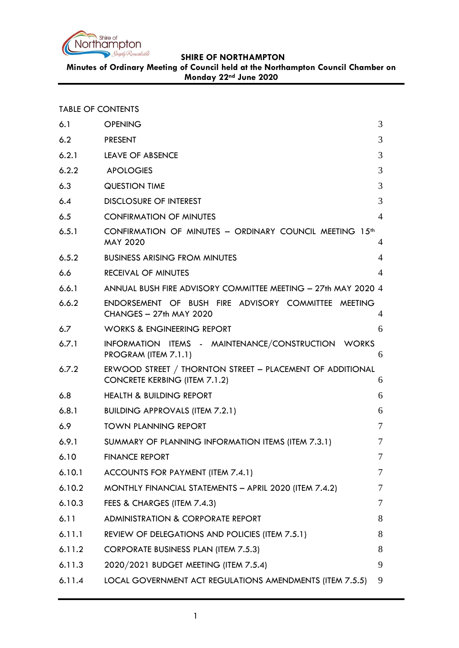

**Minutes of Ordinary Meeting of Council held at the Northampton Council Chamber on Monday 22nd June 2020**

| <b>TABLE OF CONTENTS</b> |  |  |  |
|--------------------------|--|--|--|
|--------------------------|--|--|--|

| 6.1    | <b>OPENING</b>                                                                                    | 3              |
|--------|---------------------------------------------------------------------------------------------------|----------------|
| 6.2    | <b>PRESENT</b>                                                                                    | 3              |
| 6.2.1  | <b>LEAVE OF ABSENCE</b>                                                                           | 3              |
| 6.2.2  | <b>APOLOGIES</b>                                                                                  | 3              |
| 6.3    | <b>QUESTION TIME</b>                                                                              | 3              |
| 6.4    | <b>DISCLOSURE OF INTEREST</b>                                                                     | 3              |
| 6.5    | <b>CONFIRMATION OF MINUTES</b>                                                                    | $\overline{4}$ |
| 6.5.1  | CONFIRMATION OF MINUTES - ORDINARY COUNCIL MEETING 15th<br><b>MAY 2020</b>                        | 4              |
| 6.5.2  | <b>BUSINESS ARISING FROM MINUTES</b>                                                              | 4              |
| 6.6    | RECEIVAL OF MINUTES                                                                               | 4              |
| 6.6.1  | ANNUAL BUSH FIRE ADVISORY COMMITTEE MEETING - 27th MAY 2020 4                                     |                |
| 6.6.2  | ENDORSEMENT OF BUSH FIRE ADVISORY COMMITTEE MEETING<br>CHANGES - 27th MAY 2020                    | 4              |
| 6.7    | <b>WORKS &amp; ENGINEERING REPORT</b>                                                             | 6              |
| 6.7.1  | INFORMATION ITEMS - MAINTENANCE/CONSTRUCTION WORKS<br>PROGRAM (ITEM 7.1.1)                        | 6              |
| 6.7.2  | ERWOOD STREET / THORNTON STREET - PLACEMENT OF ADDITIONAL<br><b>CONCRETE KERBING (ITEM 7.1.2)</b> | 6              |
| 6.8    | <b>HEALTH &amp; BUILDING REPORT</b>                                                               | 6              |
| 6.8.1  | <b>BUILDING APPROVALS (ITEM 7.2.1)</b>                                                            | 6              |
| 6.9    | <b>TOWN PLANNING REPORT</b>                                                                       | 7              |
| 6.9.1  | SUMMARY OF PLANNING INFORMATION ITEMS (ITEM 7.3.1)                                                | 7              |
| 6.10   | <b>FINANCE REPORT</b>                                                                             | 7              |
| 6.10.1 | ACCOUNTS FOR PAYMENT (ITEM 7.4.1)                                                                 | 7              |
| 6.10.2 | MONTHLY FINANCIAL STATEMENTS - APRIL 2020 (ITEM 7.4.2)                                            | 7              |
| 6.10.3 | FEES & CHARGES (ITEM 7.4.3)                                                                       | 7              |
| 6.11   | <b>ADMINISTRATION &amp; CORPORATE REPORT</b>                                                      | 8              |
| 6.11.1 | REVIEW OF DELEGATIONS AND POLICIES (ITEM 7.5.1)                                                   | 8              |
| 6.11.2 | <b>CORPORATE BUSINESS PLAN (ITEM 7.5.3)</b>                                                       | 8              |
| 6.11.3 | 2020/2021 BUDGET MEETING (ITEM 7.5.4)                                                             | 9              |
| 6.11.4 | LOCAL GOVERNMENT ACT REGULATIONS AMENDMENTS (ITEM 7.5.5)                                          | 9              |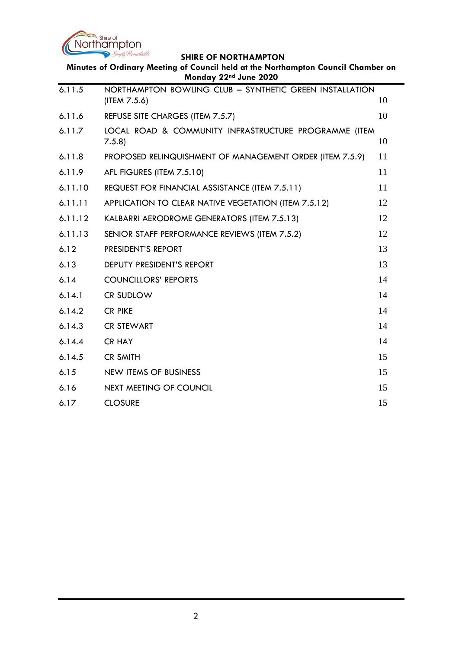

| Minutes of Ordinary Meeting of Council held at the Northampton Council Chamber on<br>Monday 22 <sup>nd</sup> June 2020 |                                                                         |    |  |
|------------------------------------------------------------------------------------------------------------------------|-------------------------------------------------------------------------|----|--|
| 6.11.5                                                                                                                 | NORTHAMPTON BOWLING CLUB - SYNTHETIC GREEN INSTALLATION<br>(ITEM 7.5.6) | 10 |  |
| 6.11.6                                                                                                                 | REFUSE SITE CHARGES (ITEM 7.5.7)                                        | 10 |  |
| 6.11.7                                                                                                                 | LOCAL ROAD & COMMUNITY INFRASTRUCTURE PROGRAMME (ITEM<br>7.5.8          | 10 |  |
| 6.11.8                                                                                                                 | PROPOSED RELINQUISHMENT OF MANAGEMENT ORDER (ITEM 7.5.9)                | 11 |  |
| 6.11.9                                                                                                                 | AFL FIGURES (ITEM 7.5.10)                                               | 11 |  |
| 6.11.10                                                                                                                | REQUEST FOR FINANCIAL ASSISTANCE (ITEM 7.5.11)                          | 11 |  |
| 6.11.11                                                                                                                | APPLICATION TO CLEAR NATIVE VEGETATION (ITEM 7.5.12)                    | 12 |  |
| 6.11.12                                                                                                                | KALBARRI AERODROME GENERATORS (ITEM 7.5.13)                             | 12 |  |
| 6.11.13                                                                                                                | SENIOR STAFF PERFORMANCE REVIEWS (ITEM 7.5.2)                           | 12 |  |
| 6.12                                                                                                                   | PRESIDENT'S REPORT                                                      | 13 |  |
| 6.13                                                                                                                   | DEPUTY PRESIDENT'S REPORT                                               | 13 |  |
| 6.14                                                                                                                   | <b>COUNCILLORS' REPORTS</b>                                             | 14 |  |
| 6.14.1                                                                                                                 | <b>CR SUDLOW</b>                                                        | 14 |  |
| 6.14.2                                                                                                                 | <b>CR PIKE</b>                                                          | 14 |  |
| 6.14.3                                                                                                                 | <b>CR STEWART</b>                                                       | 14 |  |
| 6.14.4                                                                                                                 | <b>CR HAY</b>                                                           | 14 |  |
| 6.14.5                                                                                                                 | <b>CR SMITH</b>                                                         | 15 |  |
| 6.15                                                                                                                   | <b>NEW ITEMS OF BUSINESS</b>                                            | 15 |  |
| 6.16                                                                                                                   | NEXT MEETING OF COUNCIL                                                 | 15 |  |
| 6.17                                                                                                                   | <b>CLOSURE</b>                                                          | 15 |  |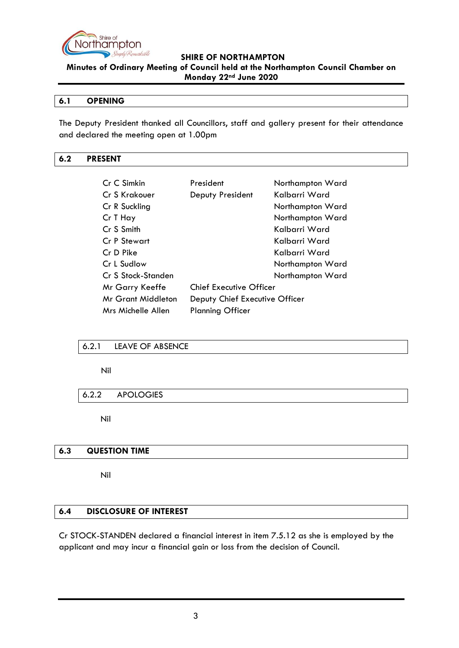

**Minutes of Ordinary Meeting of Council held at the Northampton Council Chamber on Monday 22nd June 2020**

### <span id="page-2-0"></span>**6.1 OPENING**

The Deputy President thanked all Councillors, staff and gallery present for their attendance and declared the meeting open at 1.00pm

# <span id="page-2-1"></span>**6.2 PRESENT**

| Cr C Simkin        | President                      | Northampton Ward |
|--------------------|--------------------------------|------------------|
| Cr S Krakouer      | Deputy President               | Kalbarri Ward    |
| Cr R Suckling      |                                | Northampton Ward |
| Cr T Hay           |                                | Northampton Ward |
| Cr S Smith         |                                | Kalbarri Ward    |
| Cr P Stewart       |                                | Kalbarri Ward    |
| Cr D Pike          |                                | Kalbarri Ward    |
| Cr L Sudlow        |                                | Northampton Ward |
| Cr S Stock-Standen |                                | Northampton Ward |
| Mr Garry Keeffe    | <b>Chief Executive Officer</b> |                  |
| Mr Grant Middleton | Deputy Chief Executive Officer |                  |
| Mrs Michelle Allen | <b>Planning Officer</b>        |                  |

# <span id="page-2-2"></span>6.2.1 LEAVE OF ABSENCE

Nil

# <span id="page-2-3"></span>6.2.2 APOLOGIES

Nil

# <span id="page-2-4"></span>**6.3 QUESTION TIME**

Nil

# <span id="page-2-5"></span>**6.4 DISCLOSURE OF INTEREST**

Cr STOCK-STANDEN declared a financial interest in item 7.5.12 as she is employed by the applicant and may incur a financial gain or loss from the decision of Council.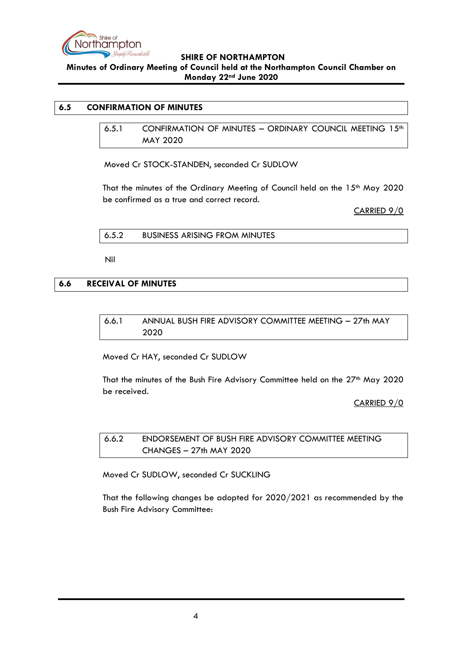

**Minutes of Ordinary Meeting of Council held at the Northampton Council Chamber on Monday 22nd June 2020**

# <span id="page-3-1"></span><span id="page-3-0"></span>**6.5 CONFIRMATION OF MINUTES**

6.5.1 CONFIRMATION OF MINUTES - ORDINARY COUNCIL MEETING 15<sup>th</sup> MAY 2020

Moved Cr STOCK-STANDEN, seconded Cr SUDLOW

That the minutes of the Ordinary Meeting of Council held on the 15th May 2020 be confirmed as a true and correct record.

CARRIED 9/0

<span id="page-3-2"></span>6.5.2 BUSINESS ARISING FROM MINUTES

Nil

### <span id="page-3-4"></span><span id="page-3-3"></span>**6.6 RECEIVAL OF MINUTES**

# 6.6.1 ANNUAL BUSH FIRE ADVISORY COMMITTEE MEETING – 27th MAY 2020

Moved Cr HAY, seconded Cr SUDLOW

That the minutes of the Bush Fire Advisory Committee held on the 27<sup>th</sup> May 2020 be received.

CARRIED 9/0

<span id="page-3-5"></span>6.6.2 ENDORSEMENT OF BUSH FIRE ADVISORY COMMITTEE MEETING CHANGES – 27th MAY 2020

Moved Cr SUDLOW, seconded Cr SUCKLING

That the following changes be adopted for 2020/2021 as recommended by the Bush Fire Advisory Committee: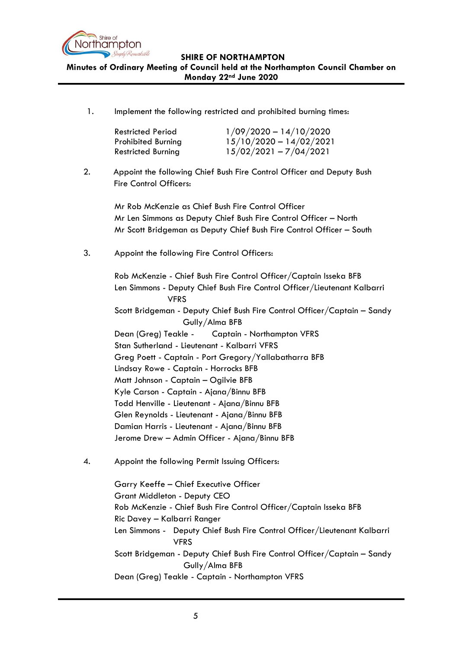

**Minutes of Ordinary Meeting of Council held at the Northampton Council Chamber on Monday 22nd June 2020**

1. Implement the following restricted and prohibited burning times:

| <b>Restricted Period</b>  | $1/09/2020 - 14/10/2020$  |
|---------------------------|---------------------------|
| <b>Prohibited Burning</b> | $15/10/2020 - 14/02/2021$ |
| <b>Restricted Burning</b> | $15/02/2021 - 7/04/2021$  |

2. Appoint the following Chief Bush Fire Control Officer and Deputy Bush Fire Control Officers:

> Mr Rob McKenzie as Chief Bush Fire Control Officer Mr Len Simmons as Deputy Chief Bush Fire Control Officer – North Mr Scott Bridgeman as Deputy Chief Bush Fire Control Officer – South

3. Appoint the following Fire Control Officers:

Rob McKenzie - Chief Bush Fire Control Officer/Captain Isseka BFB Len Simmons - Deputy Chief Bush Fire Control Officer/Lieutenant Kalbarri VFRS Scott Bridgeman - Deputy Chief Bush Fire Control Officer/Captain – Sandy Gully/Alma BFB Dean (Greg) Teakle - Captain - Northampton VFRS Stan Sutherland - Lieutenant - Kalbarri VFRS Greg Poett - Captain - Port Gregory/Yallabatharra BFB Lindsay Rowe - Captain - Horrocks BFB Matt Johnson - Captain – Ogilvie BFB Kyle Carson - Captain - Ajana/Binnu BFB Todd Henville - Lieutenant - Ajana/Binnu BFB Glen Reynolds - Lieutenant - Ajana/Binnu BFB Damian Harris - Lieutenant - Ajana/Binnu BFB Jerome Drew – Admin Officer - Ajana/Binnu BFB

4. Appoint the following Permit Issuing Officers:

Garry Keeffe – Chief Executive Officer Grant Middleton - Deputy CEO Rob McKenzie - Chief Bush Fire Control Officer/Captain Isseka BFB Ric Davey – Kalbarri Ranger Len Simmons - Deputy Chief Bush Fire Control Officer/Lieutenant Kalbarri VFRS Scott Bridgeman - Deputy Chief Bush Fire Control Officer/Captain – Sandy Gully/Alma BFB Dean (Greg) Teakle - Captain - Northampton VFRS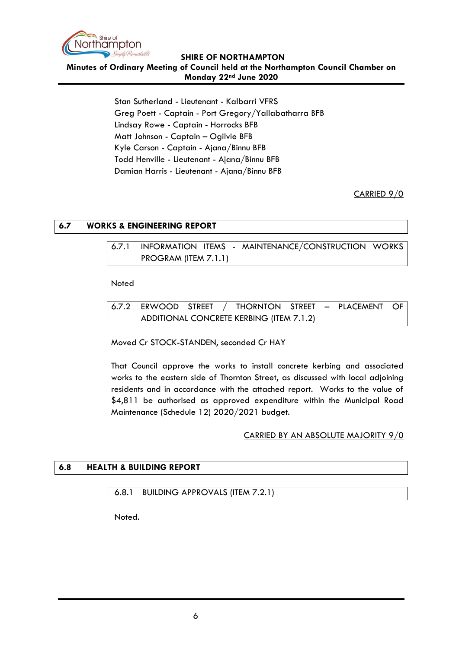

**Minutes of Ordinary Meeting of Council held at the Northampton Council Chamber on Monday 22nd June 2020**

> Stan Sutherland - Lieutenant - Kalbarri VFRS Greg Poett - Captain - Port Gregory/Yallabatharra BFB Lindsay Rowe - Captain - Horrocks BFB Matt Johnson - Captain – Ogilvie BFB Kyle Carson - Captain - Ajana/Binnu BFB Todd Henville - Lieutenant - Ajana/Binnu BFB Damian Harris - Lieutenant - Ajana/Binnu BFB

> > CARRIED 9/0

# <span id="page-5-1"></span><span id="page-5-0"></span>**6.7 WORKS & ENGINEERING REPORT**

6.7.1 INFORMATION ITEMS - MAINTENANCE/CONSTRUCTION WORKS PROGRAM (ITEM 7.1.1)

Noted

<span id="page-5-2"></span>

|  |  | 6.7.2 ERWOOD STREET / THORNTON STREET - PLACEMENT OF |  |  |
|--|--|------------------------------------------------------|--|--|
|  |  | ADDITIONAL CONCRETE KERBING (ITEM 7.1.2)             |  |  |

Moved Cr STOCK-STANDEN, seconded Cr HAY

That Council approve the works to install concrete kerbing and associated works to the eastern side of Thornton Street, as discussed with local adjoining residents and in accordance with the attached report. Works to the value of \$4,811 be authorised as approved expenditure within the Municipal Road Maintenance (Schedule 12) 2020/2021 budget.

# CARRIED BY AN ABSOLUTE MAJORITY 9/0

# <span id="page-5-3"></span>**6.8 HEALTH & BUILDING REPORT**

#### <span id="page-5-4"></span>6.8.1 BUILDING APPROVALS (ITEM 7.2.1)

Noted.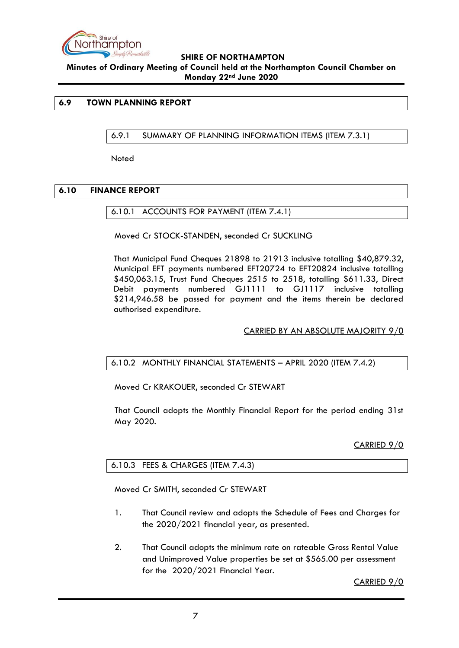

**Minutes of Ordinary Meeting of Council held at the Northampton Council Chamber on Monday 22nd June 2020**

### <span id="page-6-1"></span><span id="page-6-0"></span>**6.9 TOWN PLANNING REPORT**

6.9.1 SUMMARY OF PLANNING INFORMATION ITEMS (ITEM 7.3.1)

Noted

### <span id="page-6-3"></span><span id="page-6-2"></span>**6.10 FINANCE REPORT**

### 6.10.1 ACCOUNTS FOR PAYMENT (ITEM 7.4.1)

Moved Cr STOCK-STANDEN, seconded Cr SUCKLING

That Municipal Fund Cheques 21898 to 21913 inclusive totalling \$40,879.32, Municipal EFT payments numbered EFT20724 to EFT20824 inclusive totalling \$450,063.15, Trust Fund Cheques 2515 to 2518, totalling \$611.33, Direct Debit payments numbered GJ1111 to GJ1117 inclusive totalling \$214,946.58 be passed for payment and the items therein be declared authorised expenditure.

# CARRIED BY AN ABSOLUTE MAJORITY 9/0

# <span id="page-6-4"></span>6.10.2 MONTHLY FINANCIAL STATEMENTS – APRIL 2020 (ITEM 7.4.2)

Moved Cr KRAKOUER, seconded Cr STEWART

That Council adopts the Monthly Financial Report for the period ending 31st May 2020.

CARRIED 9/0

# <span id="page-6-5"></span>6.10.3 FEES & CHARGES (ITEM 7.4.3)

Moved Cr SMITH, seconded Cr STEWART

- 1. That Council review and adopts the Schedule of Fees and Charges for the 2020/2021 financial year, as presented.
- 2. That Council adopts the minimum rate on rateable Gross Rental Value and Unimproved Value properties be set at \$565.00 per assessment for the 2020/2021 Financial Year.

CARRIED 9/0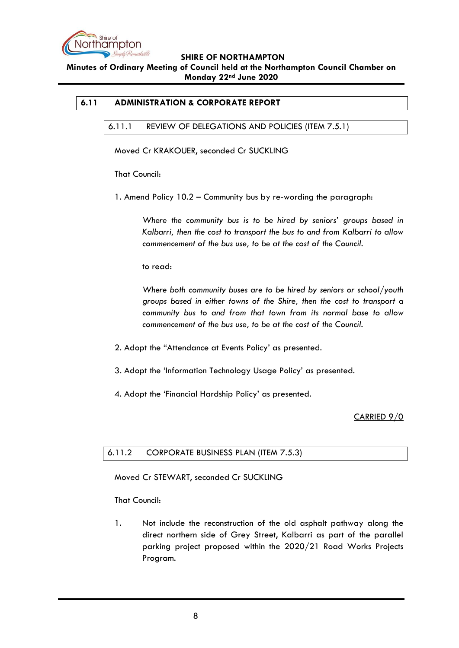

**Minutes of Ordinary Meeting of Council held at the Northampton Council Chamber on Monday 22nd June 2020**

### <span id="page-7-1"></span><span id="page-7-0"></span>**6.11 ADMINISTRATION & CORPORATE REPORT**

### 6.11.1 REVIEW OF DELEGATIONS AND POLICIES (ITEM 7.5.1)

Moved Cr KRAKOUER, seconded Cr SUCKLING

That Council:

1. Amend Policy 10.2 – Community bus by re-wording the paragraph:

*Where the community bus is to be hired by seniors' groups based in Kalbarri, then the cost to transport the bus to and from Kalbarri to allow commencement of the bus use, to be at the cost of the Council.* 

to read:

*Where both community buses are to be hired by seniors or school/youth groups based in either towns of the Shire, then the cost to transport a community bus to and from that town from its normal base to allow commencement of the bus use, to be at the cost of the Council.* 

- 2. Adopt the "Attendance at Events Policy' as presented.
- 3. Adopt the 'Information Technology Usage Policy' as presented.
- 4. Adopt the 'Financial Hardship Policy' as presented.

# CARRIED 9/0

# <span id="page-7-2"></span>6.11.2 CORPORATE BUSINESS PLAN (ITEM 7.5.3)

Moved Cr STEWART, seconded Cr SUCKLING

That Council:

1. Not include the reconstruction of the old asphalt pathway along the direct northern side of Grey Street, Kalbarri as part of the parallel parking project proposed within the 2020/21 Road Works Projects Program.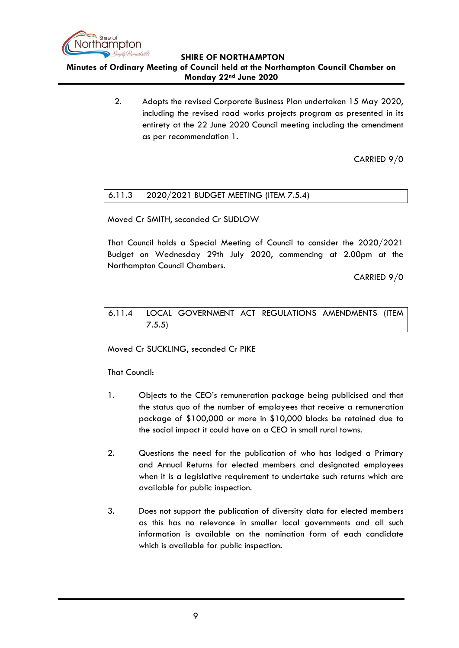

**Minutes of Ordinary Meeting of Council held at the Northampton Council Chamber on Monday 22nd June 2020**

> 2. Adopts the revised Corporate Business Plan undertaken 15 May 2020, including the revised road works projects program as presented in its entirety at the 22 June 2020 Council meeting including the amendment as per recommendation 1.

> > CARRIED 9/0

# <span id="page-8-0"></span>6.11.3 2020/2021 BUDGET MEETING (ITEM 7.5.4)

Moved Cr SMITH, seconded Cr SUDLOW

That Council holds a Special Meeting of Council to consider the 2020/2021 Budget on Wednesday 29th July 2020, commencing at 2.00pm at the Northampton Council Chambers.

CARRIED 9/0

<span id="page-8-1"></span>6.11.4 LOCAL GOVERNMENT ACT REGULATIONS AMENDMENTS (ITEM 7.5.5)

Moved Cr SUCKLING, seconded Cr PIKE

That Council:

- 1. Objects to the CEO's remuneration package being publicised and that the status quo of the number of employees that receive a remuneration package of \$100,000 or more in \$10,000 blocks be retained due to the social impact it could have on a CEO in small rural towns.
- 2. Questions the need for the publication of who has lodged a Primary and Annual Returns for elected members and designated employees when it is a leaislative requirement to undertake such returns which are available for public inspection.
- 3. Does not support the publication of diversity data for elected members as this has no relevance in smaller local governments and all such information is available on the nomination form of each candidate which is available for public inspection.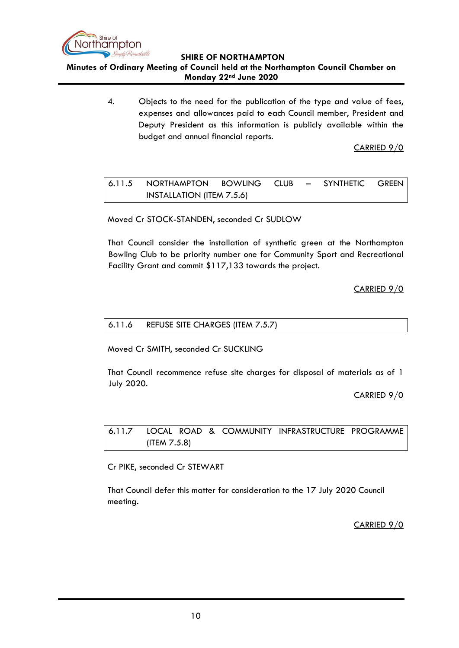

**Minutes of Ordinary Meeting of Council held at the Northampton Council Chamber on Monday 22nd June 2020**

> 4. Objects to the need for the publication of the type and value of fees, expenses and allowances paid to each Council member, President and Deputy President as this information is publicly available within the budget and annual financial reports.

> > CARRIED 9/0

# <span id="page-9-0"></span>6.11.5 NORTHAMPTON BOWLING CLUB – SYNTHETIC GREEN INSTALLATION (ITEM 7.5.6)

Moved Cr STOCK-STANDEN, seconded Cr SUDLOW

That Council consider the installation of synthetic green at the Northampton Bowling Club to be priority number one for Community Sport and Recreational Facility Grant and commit \$117,133 towards the project.

CARRIED 9/0

# <span id="page-9-1"></span>6.11.6 REFUSE SITE CHARGES (ITEM 7.5.7)

Moved Cr SMITH, seconded Cr SUCKLING

That Council recommence refuse site charges for disposal of materials as of 1 July 2020.

CARRIED 9/0

<span id="page-9-2"></span>6.11.7 LOCAL ROAD & COMMUNITY INFRASTRUCTURE PROGRAMME (ITEM 7.5.8)

Cr PIKE, seconded Cr STEWART

That Council defer this matter for consideration to the 17 July 2020 Council meeting.

CARRIED 9/0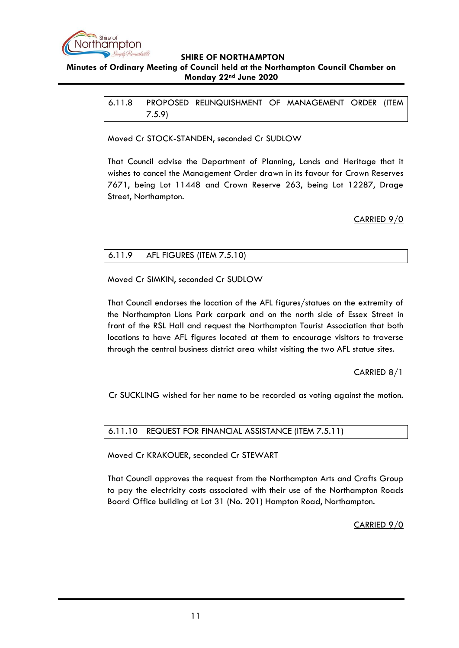

# <span id="page-10-0"></span>**Minutes of Ordinary Meeting of Council held at the Northampton Council Chamber on Monday 22nd June 2020**

6.11.8 PROPOSED RELINQUISHMENT OF MANAGEMENT ORDER (ITEM 7.5.9)

Moved Cr STOCK-STANDEN, seconded Cr SUDLOW

That Council advise the Department of Planning, Lands and Heritage that it wishes to cancel the Management Order drawn in its favour for Crown Reserves 7671, being Lot 11448 and Crown Reserve 263, being Lot 12287, Drage Street, Northampton.

# CARRIED 9/0

# <span id="page-10-1"></span>6.11.9 AFL FIGURES (ITEM 7.5.10)

Moved Cr SIMKIN, seconded Cr SUDLOW

That Council endorses the location of the AFL figures/statues on the extremity of the Northampton Lions Park carpark and on the north side of Essex Street in front of the RSL Hall and request the Northampton Tourist Association that both locations to have AFL figures located at them to encourage visitors to traverse through the central business district area whilst visiting the two AFL statue sites.

# CARRIED 8/1

Cr SUCKLING wished for her name to be recorded as voting against the motion.

# <span id="page-10-2"></span>6.11.10 REQUEST FOR FINANCIAL ASSISTANCE (ITEM 7.5.11)

Moved Cr KRAKOUER, seconded Cr STEWART

That Council approves the request from the Northampton Arts and Crafts Group to pay the electricity costs associated with their use of the Northampton Roads Board Office building at Lot 31 (No. 201) Hampton Road, Northampton.

CARRIED 9/0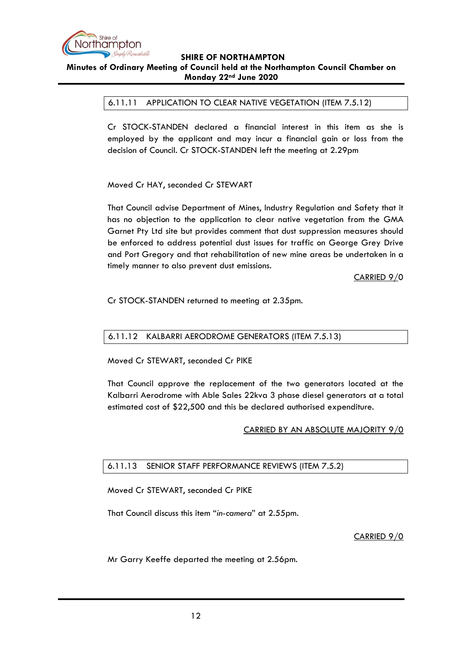

# <span id="page-11-0"></span>**Minutes of Ordinary Meeting of Council held at the Northampton Council Chamber on Monday 22nd June 2020**

### 6.11.11 APPLICATION TO CLEAR NATIVE VEGETATION (ITEM 7.5.12)

Cr STOCK-STANDEN declared a financial interest in this item as she is employed by the applicant and may incur a financial gain or loss from the decision of Council. Cr STOCK-STANDEN left the meeting at 2.29pm

Moved Cr HAY, seconded Cr STEWART

That Council advise Department of Mines, Industry Regulation and Safety that it has no objection to the application to clear native vegetation from the GMA Garnet Pty Ltd site but provides comment that dust suppression measures should be enforced to address potential dust issues for traffic on George Grey Drive and Port Gregory and that rehabilitation of new mine areas be undertaken in a timely manner to also prevent dust emissions.

CARRIED 9/0

Cr STOCK-STANDEN returned to meeting at 2.35pm.

# <span id="page-11-1"></span>6.11.12 KALBARRI AERODROME GENERATORS (ITEM 7.5.13)

Moved Cr STEWART, seconded Cr PIKE

That Council approve the replacement of the two generators located at the Kalbarri Aerodrome with Able Sales 22kva 3 phase diesel generators at a total estimated cost of \$22,500 and this be declared authorised expenditure.

# CARRIED BY AN ABSOLUTE MAJORITY 9/0

#### <span id="page-11-2"></span>6.11.13 SENIOR STAFF PERFORMANCE REVIEWS (ITEM 7.5.2)

Moved Cr STEWART, seconded Cr PIKE

That Council discuss this item "*in-camera*" at 2.55pm.

#### CARRIED 9/0

Mr Garry Keeffe departed the meeting at 2.56pm.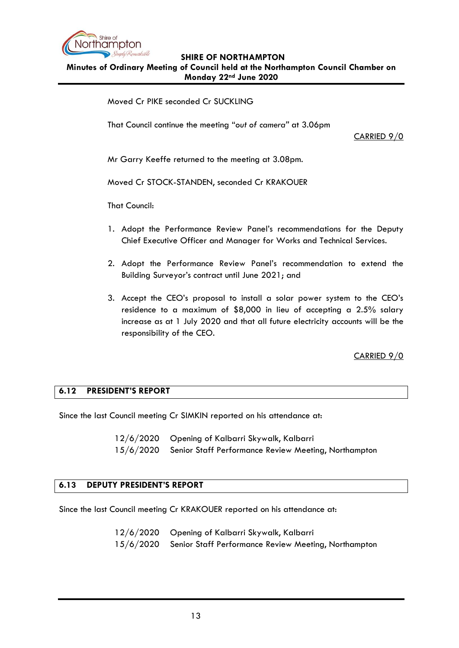

**Minutes of Ordinary Meeting of Council held at the Northampton Council Chamber on Monday 22nd June 2020**

Moved Cr PIKE seconded Cr SUCKLING

That Council continue the meeting "*out of camera"* at 3.06pm

CARRIED 9/0

Mr Garry Keeffe returned to the meeting at 3.08pm.

Moved Cr STOCK-STANDEN, seconded Cr KRAKOUER

That Council:

- 1. Adopt the Performance Review Panel's recommendations for the Deputy Chief Executive Officer and Manager for Works and Technical Services.
- 2. Adopt the Performance Review Panel's recommendation to extend the Building Surveyor's contract until June 2021; and
- 3. Accept the CEO's proposal to install a solar power system to the CEO's residence to a maximum of \$8,000 in lieu of accepting a 2.5% salary increase as at 1 July 2020 and that all future electricity accounts will be the responsibility of the CEO.

CARRIED 9/0

# <span id="page-12-0"></span>**6.12 PRESIDENT'S REPORT**

Since the last Council meeting Cr SIMKIN reported on his attendance at:

12/6/2020 Opening of Kalbarri Skywalk, Kalbarri 15/6/2020 Senior Staff Performance Review Meeting, Northampton

# <span id="page-12-1"></span>**6.13 DEPUTY PRESIDENT'S REPORT**

Since the last Council meeting Cr KRAKOUER reported on his attendance at:

12/6/2020 Opening of Kalbarri Skywalk, Kalbarri 15/6/2020 Senior Staff Performance Review Meeting, Northampton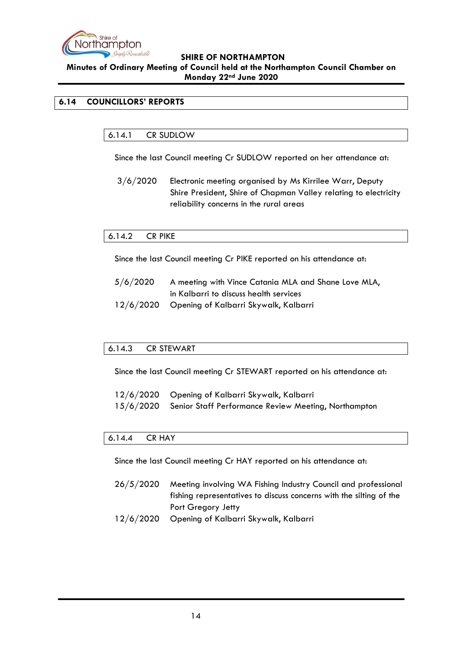

**Minutes of Ordinary Meeting of Council held at the Northampton Council Chamber on Monday 22nd June 2020**

# <span id="page-13-1"></span><span id="page-13-0"></span>**6.14 COUNCILLORS' REPORTS**

# 6.14.1 CR SUDLOW

Since the last Council meeting Cr SUDLOW reported on her attendance at:

3/6/2020 Electronic meeting organised by Ms Kirrilee Warr, Deputy Shire President, Shire of Chapman Valley relating to electricity reliability concerns in the rural areas

# <span id="page-13-2"></span>6.14.2 CR PIKE

Since the last Council meeting Cr PIKE reported on his attendance at:

| 5/6/2020 | A meeting with Vince Catania MLA and Shane Love MLA, |
|----------|------------------------------------------------------|
|          | in Kalbarri to discuss health services               |
|          | 12/6/2020 Opening of Kalbarri Skywalk, Kalbarri      |

# <span id="page-13-3"></span>6.14.3 CR STEWART

Since the last Council meeting Cr STEWART reported on his attendance at:

| 12/6/2020 Opening of Kalbarri Skywalk, Kalbarri                |
|----------------------------------------------------------------|
| 15/6/2020 Senior Staff Performance Review Meeting, Northampton |

#### <span id="page-13-4"></span>6.14.4 CR HAY

Since the last Council meeting Cr HAY reported on his attendance at:

- 26/5/2020 Meeting involving WA Fishing Industry Council and professional fishing representatives to discuss concerns with the silting of the Port Gregory Jetty
- 12/6/2020 Opening of Kalbarri Skywalk, Kalbarri